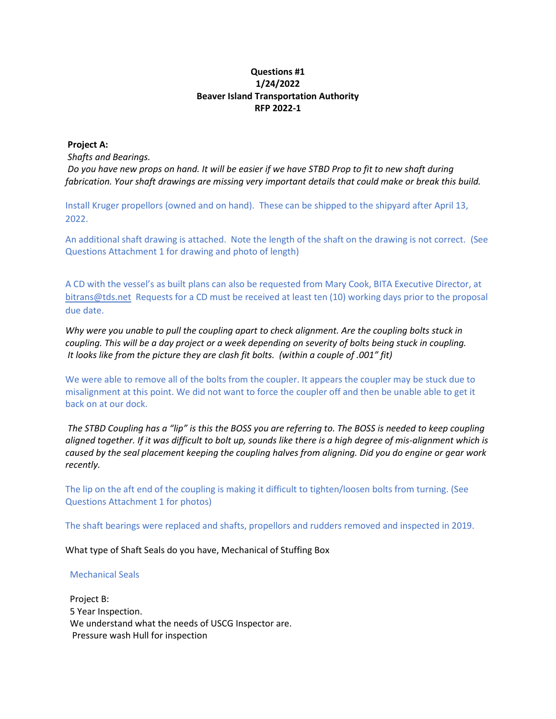## **Questions #1 1/24/2022 Beaver Island Transportation Authority RFP 2022-1**

## **Project A:**

*Shafts and Bearings.* 

*Do you have new props on hand. It will be easier if we have STBD Prop to fit to new shaft during fabrication. Your shaft drawings are missing very important details that could make or break this build.* 

Install Kruger propellors (owned and on hand). These can be shipped to the shipyard after April 13, 2022.

An additional shaft drawing is attached. Note the length of the shaft on the drawing is not correct. (See Questions Attachment 1 for drawing and photo of length)

A CD with the vessel's as built plans can also be requested from Mary Cook, BITA Executive Director, at [bitrans@tds.net](mailto:bitrans@tds.net) Requests for a CD must be received at least ten (10) working days prior to the proposal due date.

*Why were you unable to pull the coupling apart to check alignment. Are the coupling bolts stuck in coupling. This will be a day project or a week depending on severity of bolts being stuck in coupling. It looks like from the picture they are clash fit bolts. (within a couple of .001" fit)*

We were able to remove all of the bolts from the coupler. It appears the coupler may be stuck due to misalignment at this point. We did not want to force the coupler off and then be unable able to get it back on at our dock.

*The STBD Coupling has a "lip" is this the BOSS you are referring to. The BOSS is needed to keep coupling aligned together. If it was difficult to bolt up, sounds like there is a high degree of mis-alignment which is caused by the seal placement keeping the coupling halves from aligning. Did you do engine or gear work recently.*

The lip on the aft end of the coupling is making it difficult to tighten/loosen bolts from turning. (See Questions Attachment 1 for photos)

The shaft bearings were replaced and shafts, propellors and rudders removed and inspected in 2019.

What type of Shaft Seals do you have, Mechanical of Stuffing Box

## Mechanical Seals

 Project B: 5 Year Inspection. We understand what the needs of USCG Inspector are. Pressure wash Hull for inspection